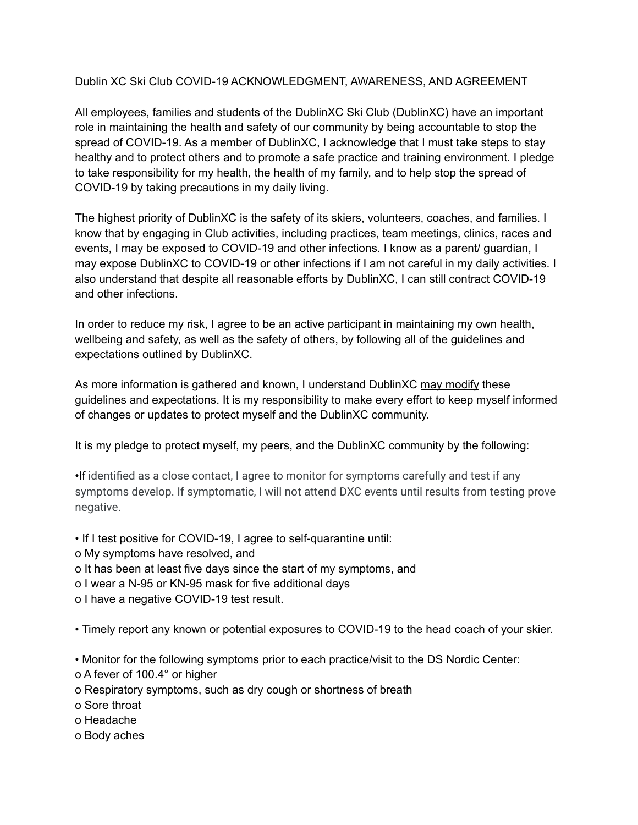## Dublin XC Ski Club COVID-19 ACKNOWLEDGMENT, AWARENESS, AND AGREEMENT

All employees, families and students of the DublinXC Ski Club (DublinXC) have an important role in maintaining the health and safety of our community by being accountable to stop the spread of COVID-19. As a member of DublinXC, I acknowledge that I must take steps to stay healthy and to protect others and to promote a safe practice and training environment. I pledge to take responsibility for my health, the health of my family, and to help stop the spread of COVID-19 by taking precautions in my daily living.

The highest priority of DublinXC is the safety of its skiers, volunteers, coaches, and families. I know that by engaging in Club activities, including practices, team meetings, clinics, races and events, I may be exposed to COVID-19 and other infections. I know as a parent/ guardian, I may expose DublinXC to COVID-19 or other infections if I am not careful in my daily activities. I also understand that despite all reasonable efforts by DublinXC, I can still contract COVID-19 and other infections.

In order to reduce my risk, I agree to be an active participant in maintaining my own health, wellbeing and safety, as well as the safety of others, by following all of the guidelines and expectations outlined by DublinXC.

As more information is gathered and known, I understand DublinXC may modify these guidelines and expectations. It is my responsibility to make every effort to keep myself informed of changes or updates to protect myself and the DublinXC community.

It is my pledge to protect myself, my peers, and the DublinXC community by the following:

•If identified as a close contact, I agree to monitor for symptoms carefully and test if any symptoms develop. If symptomatic, I will not attend DXC events until results from testing prove negative.

- If I test positive for COVID-19, I agree to self-quarantine until:
- o My symptoms have resolved, and
- o It has been at least five days since the start of my symptoms, and
- o I wear a N-95 or KN-95 mask for five additional days
- o I have a negative COVID-19 test result.

• Timely report any known or potential exposures to COVID-19 to the head coach of your skier.

• Monitor for the following symptoms prior to each practice/visit to the DS Nordic Center:

- o A fever of 100.4° or higher
- o Respiratory symptoms, such as dry cough or shortness of breath
- o Sore throat
- o Headache
- o Body aches